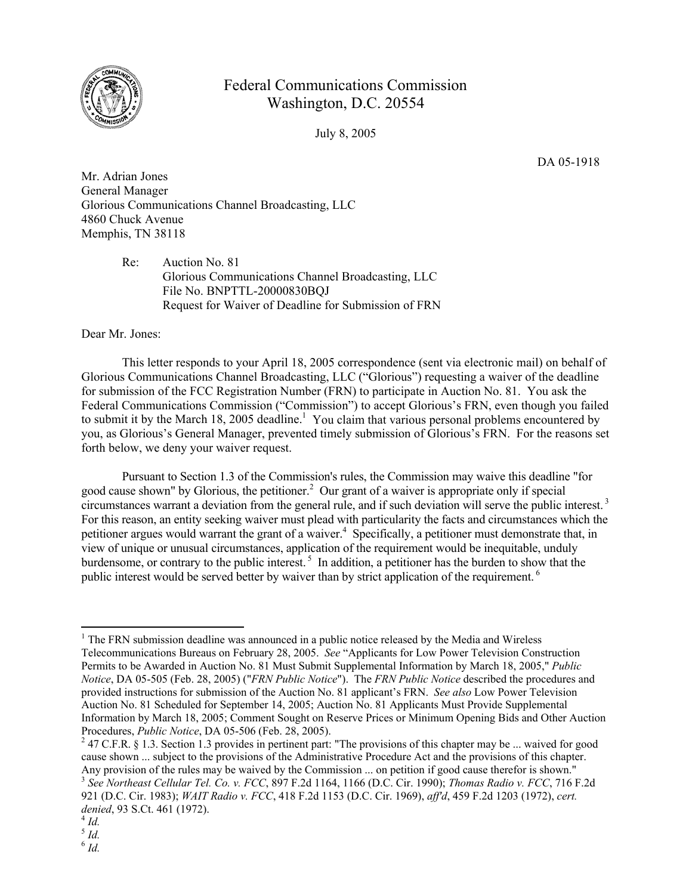

## Federal Communications Commission Washington, D.C. 20554

July 8, 2005

DA 05-1918

Mr. Adrian Jones General Manager Glorious Communications Channel Broadcasting, LLC 4860 Chuck Avenue Memphis, TN 38118

> Re: Auction No. 81 Glorious Communications Channel Broadcasting, LLC File No. BNPTTL-20000830BQJ Request for Waiver of Deadline for Submission of FRN

Dear Mr. Jones:

This letter responds to your April 18, 2005 correspondence (sent via electronic mail) on behalf of Glorious Communications Channel Broadcasting, LLC ("Glorious") requesting a waiver of the deadline for submission of the FCC Registration Number (FRN) to participate in Auction No. 81. You ask the Federal Communications Commission ("Commission") to accept Glorious's FRN, even though you failed to submit it by the March 18, 2005 deadline.<sup>1</sup> You claim that various personal problems encountered by you, as Glorious's General Manager, prevented timely submission of Glorious's FRN. For the reasons set forth below, we deny your waiver request.

 Pursuant to Section 1.3 of the Commission's rules, the Commission may waive this deadline "for good cause shown" by Glorious, the petitioner.<sup>2</sup> Our grant of a waiver is appropriate only if special circumstances warrant a deviation from the general rule, and if such deviation will serve the public interest. 3 For this reason, an entity seeking waiver must plead with particularity the facts and circumstances which the petitioner argues would warrant the grant of a waiver.<sup>4</sup> Specifically, a petitioner must demonstrate that, in view of unique or unusual circumstances, application of the requirement would be inequitable, unduly burdensome, or contrary to the public interest.<sup>5</sup> In addition, a petitioner has the burden to show that the public interest would be served better by waiver than by strict application of the requirement.<sup>6</sup>

<sup>2</sup> 47 C.F.R. § 1.3. Section 1.3 provides in pertinent part: "The provisions of this chapter may be ... waived for good cause shown ... subject to the provisions of the Administrative Procedure Act and the provisions of this chapter.<br>Any provision of the rules may be waived by the Commission ... on petition if good cause therefor is shown." <sup>3</sup> See Northeast Cellular Tel. Co. v. FCC, 897 F.2d 1164, 1166 (D.C. Cir. 1990); Thomas Radio v. FCC, 716 F.2d

 $\overline{a}$ 

 $<sup>1</sup>$  The FRN submission deadline was announced in a public notice released by the Media and Wireless</sup> Telecommunications Bureaus on February 28, 2005. *See* "Applicants for Low Power Television Construction Permits to be Awarded in Auction No. 81 Must Submit Supplemental Information by March 18, 2005," *Public Notice*, DA 05-505 (Feb. 28, 2005) ("*FRN Public Notice*"). The *FRN Public Notice* described the procedures and provided instructions for submission of the Auction No. 81 applicant's FRN. *See also* Low Power Television Auction No. 81 Scheduled for September 14, 2005; Auction No. 81 Applicants Must Provide Supplemental Information by March 18, 2005; Comment Sought on Reserve Prices or Minimum Opening Bids and Other Auction Procedures, *Public Notice*, DA 05-506 (Feb. 28, 2005). 2

<sup>921 (</sup>D.C. Cir. 1983); *WAIT Radio v. FCC*, 418 F.2d 1153 (D.C. Cir. 1969), *aff'd*, 459 F.2d 1203 (1972), *cert. denied*, 93 S.Ct. 461 (1972). 4 *Id.* 

<sup>5</sup> *Id.* 

 $^6$   $\emph{Id.}$